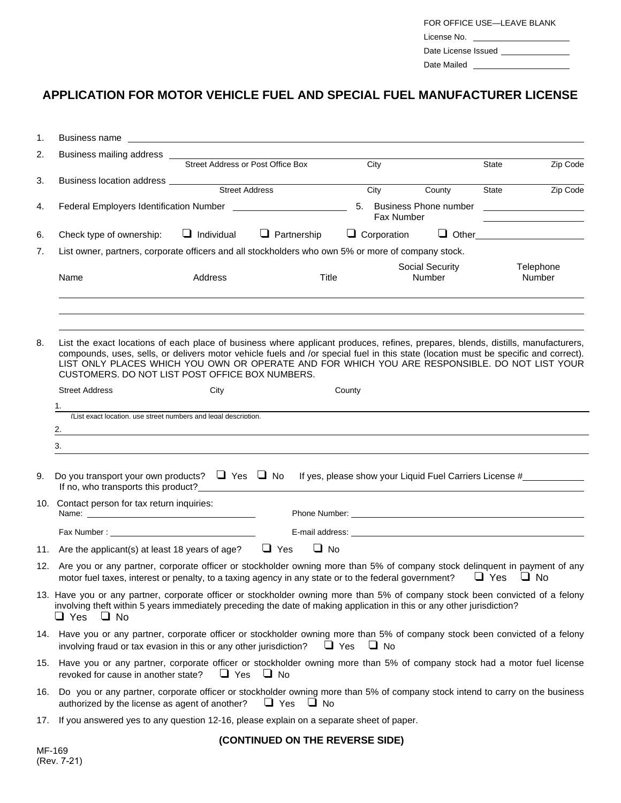| FOR OFFICE USE-LEAVE BLANK |  |  |  |  |  |  |
|----------------------------|--|--|--|--|--|--|
| License No.                |  |  |  |  |  |  |
| Date License Issued        |  |  |  |  |  |  |
| Date Mailed                |  |  |  |  |  |  |

## **APPLICATION FOR MOTOR VEHICLE FUEL AND SPECIAL FUEL MANUFACTURER LICENSE**

| 1. | Business name <u>experience and the set of the set of the set of the set of the set of the set of the set of the set of the set of the set of the set of the set of the set of the set of the set of the set of the set of the s</u>                                                                                                                                                                                        |                   |                                 |              |                    |                                               |       |                     |
|----|-----------------------------------------------------------------------------------------------------------------------------------------------------------------------------------------------------------------------------------------------------------------------------------------------------------------------------------------------------------------------------------------------------------------------------|-------------------|---------------------------------|--------------|--------------------|-----------------------------------------------|-------|---------------------|
| 2. | Business mailing address ___<br>Street Address or Post Office Box                                                                                                                                                                                                                                                                                                                                                           |                   |                                 |              | City               |                                               | State | Zip Code            |
| 3. |                                                                                                                                                                                                                                                                                                                                                                                                                             |                   |                                 |              |                    |                                               |       |                     |
|    |                                                                                                                                                                                                                                                                                                                                                                                                                             |                   |                                 |              | City               | County                                        | State | Zip Code            |
| 4. |                                                                                                                                                                                                                                                                                                                                                                                                                             |                   |                                 |              | Fax Number         | 5. Business Phone number ____________________ |       |                     |
| 6. | Check type of ownership:                                                                                                                                                                                                                                                                                                                                                                                                    | $\Box$ Individual | $\Box$ Partnership              |              | $\Box$ Corporation |                                               |       | $\Box$ Other        |
| 7. | List owner, partners, corporate officers and all stockholders who own 5% or more of company stock.                                                                                                                                                                                                                                                                                                                          |                   |                                 |              |                    |                                               |       |                     |
|    | Name                                                                                                                                                                                                                                                                                                                                                                                                                        | Address           |                                 | <b>Title</b> |                    | Social Security<br>Number                     |       | Telephone<br>Number |
| 8. | List the exact locations of each place of business where applicant produces, refines, prepares, blends, distills, manufacturers,<br>compounds, uses, sells, or delivers motor vehicle fuels and /or special fuel in this state (location must be specific and correct).<br>LIST ONLY PLACES WHICH YOU OWN OR OPERATE AND FOR WHICH YOU ARE RESPONSIBLE. DO NOT LIST YOUR<br>CUSTOMERS. DO NOT LIST POST OFFICE BOX NUMBERS. |                   |                                 |              |                    |                                               |       |                     |
|    | <b>Street Address</b>                                                                                                                                                                                                                                                                                                                                                                                                       | City              |                                 | County       |                    |                                               |       |                     |
|    | 1.                                                                                                                                                                                                                                                                                                                                                                                                                          |                   |                                 |              |                    |                                               |       |                     |
|    | (List exact location, use street numbers and legal description,<br>2.<br><u> 1980 - Johann Barbara, martxa alemaniar argametar a martxa a shekara a shekara a shekara a shekara a shekara</u>                                                                                                                                                                                                                               |                   |                                 |              |                    |                                               |       |                     |
|    | 3.                                                                                                                                                                                                                                                                                                                                                                                                                          |                   |                                 |              |                    |                                               |       |                     |
|    |                                                                                                                                                                                                                                                                                                                                                                                                                             |                   |                                 |              |                    |                                               |       |                     |
| 9. | Do you transport your own products? $\Box$ Yes $\Box$ No If yes, please show your Liquid Fuel Carriers License #<br>If no, who transports this product?<br>The same state of the state of the state of the state of the state of the state of the state of the state of the state of the state of the state of the state of the state of the state o                                                                        |                   |                                 |              |                    |                                               |       |                     |
|    | 10. Contact person for tax return inquiries:                                                                                                                                                                                                                                                                                                                                                                                |                   |                                 |              |                    |                                               |       |                     |
|    |                                                                                                                                                                                                                                                                                                                                                                                                                             |                   |                                 |              |                    |                                               |       |                     |
|    | 11. Are the applicant(s) at least 18 years of age? $\Box$ Yes                                                                                                                                                                                                                                                                                                                                                               |                   |                                 | $\Box$ No    |                    |                                               |       |                     |
|    | 12. Are you or any partner, corporate officer or stockholder owning more than 5% of company stock delinguent in payment of any<br>motor fuel taxes, interest or penalty, to a taxing agency in any state or to the federal government? $\Box$ Yes $\Box$ No                                                                                                                                                                 |                   |                                 |              |                    |                                               |       |                     |
|    | 13. Have you or any partner, corporate officer or stockholder owning more than 5% of company stock been convicted of a felony<br>involving theft within 5 years immediately preceding the date of making application in this or any other jurisdiction?<br>$\sqcup$ Yes<br>$\Box$ No                                                                                                                                        |                   |                                 |              |                    |                                               |       |                     |
|    | 14. Have you or any partner, corporate officer or stockholder owning more than 5% of company stock been convicted of a felony<br>involving fraud or tax evasion in this or any other jurisdiction?                                                                                                                                                                                                                          |                   |                                 | $\Box$ Yes   | $\Box$ No          |                                               |       |                     |
|    | 15. Have you or any partner, corporate officer or stockholder owning more than 5% of company stock had a motor fuel license<br>revoked for cause in another state?<br>$\Box$ Yes $\Box$ No                                                                                                                                                                                                                                  |                   |                                 |              |                    |                                               |       |                     |
|    | 16. Do you or any partner, corporate officer or stockholder owning more than 5% of company stock intend to carry on the business<br>authorized by the license as agent of another?                                                                                                                                                                                                                                          |                   | $\Box$ Yes                      | $\Box$ No    |                    |                                               |       |                     |
|    | 17. If you answered yes to any question 12-16, please explain on a separate sheet of paper.                                                                                                                                                                                                                                                                                                                                 |                   |                                 |              |                    |                                               |       |                     |
|    |                                                                                                                                                                                                                                                                                                                                                                                                                             |                   | (CONTINUED ON THE REVERSE SIDE) |              |                    |                                               |       |                     |